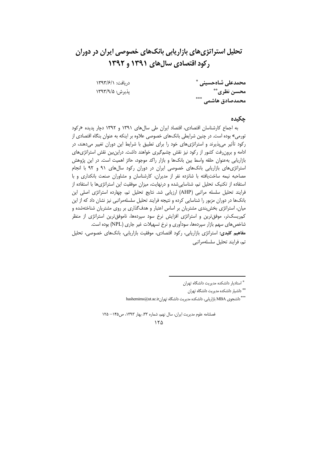# تحلیل استراتژی های بازاریابی بانک های خصوصی ایران در دوران رکود اقتصادی سالهای ۱۳۹۱ و ۱۳۹۲

د, بافت: ١٣٩٣/۶/١ يذيرش: ١٣٩٣/٩/۵

محمدعلى شاهحسيني \* محسن نظري\*\* محمدصادق هاشمے, \*\*\*

#### جكيده

به اجماع کارشناسان اقتصادی، اقتصاد ایران طی سال های ۱۳۹۱ و ۱۳۹۲ دچار پدیده «رکود تورمی» بوده است. در چنین شرایطی بانکهای خصوصی علاوه بر اینکه به عنوان بنگاه اقتصادی از رکود تأثیر می پذیرند و استراتژیهای خود را برای تطبیق با شرایط این دوران تغییر میدهند، در ادامه و برون رفت کشور از رکود نیز نقش چشمگیری خواهند داشت. دراین بین نقش استراتژیهای بازاریابی بهعنوان حلقه واسط بین بانکها و بازار راکد موجود، حائز اهمیت است. در این پژوهش استراتژیهای بازاریابی بانکهای خصوصی ایران در دوران رکود سالهای ۹۱ و ۹۲ با انجام مصاحبه نیمه ساختیافته با شانزده نفر از مدیران، کارشناسان و مشاوران صنعت بانکداری و با استفاده از تکنیک تحلیل تم، شناساییشده و درنهایت، میزان موفقیت این استراتژیها با استفاده از فرایند تحلیل سلسله مراتبی (AHP) ارزیابی شد. نتایج تحلیل تم، چهارده استراتژی اصلی این بانکها در دوران مزبور را شناسایی کرده و نتیجه فرایند تحلیل سلسلهمراتبی نیز نشان داد که از این میان، استراتژی بخش بندی مشتریان بر اساس اعتبار و هدف گذاری بر روی مشتریان شناختهشده و کمریسکتر، موفقترین و استراتژی افزایش نرخ سود سپردهها، ناموفقترین استراتژی از منظر شاخصهای سهم بازار سپردهها، سودآوری و نرخ تسهیلات غیر جاری (NPL) بوده است.

مفاهیم کلیدی: استراتژی بازاریابی، رکود اقتصادی، موفقیت بازاریابی، بانکهای خصوصی، تحلیل تم، فرايند تحليل سلسلهمراتبي

<sup>\*</sup> استادیار دانشکده مدیریت دانشگاه تهران

<sup>\*\*</sup> دانشیار دانشکده مدیریت دانشگاه تهران

<sup>\*\*\*</sup> دانشجوی MBA بازاریابی، دانشکده مدیریت دانشگاه تهران hashemims@ut.ac.ir

فصلنامه علوم مديريت ايران، سال نهم، شماره ٣٣، بهار ١٣٩٣، ص١٤٥ - ١٢٥

 $150$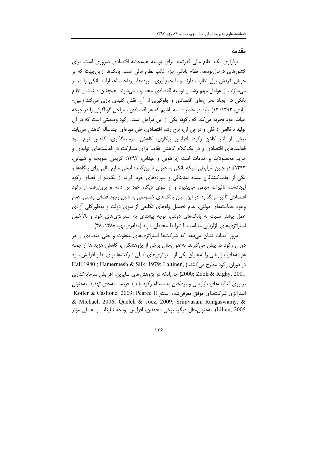#### مقدمه

برقراری یک نظام مالی قدرتمند برای توسعه همهجانبه اقتصادی ضروری است. برای کشورهای درحال توسعه، نظام بانکی جزءِ غالب نظام مالی است. بانکها ازاینجهت که بر جریان گردش پول نظارت دارند و با جمعآوری سپردهها، پرداخت اعتبارات بانکی را میسر می سازند، از عوامل مهم رشد و توسعه اقتصادی محسوب می شوند. همچنین صنعت و نظام بانکی در ایجاد بحران های اقتصادی و جلوگیری از آن، نقش کلیدی بازی می کند (عین-آبادی، ۱۳۹۳: ۱۳). باید در خاطر داشته باشیم که هر اقتصادی ، مراحل گوناگونی را در چرخه حیات خود تجربه می کند که رکود، یکی از این مراحل است. رکود وضعیتی است که در آن تولید ناخالص داخلی و در پی آن، نرخ رشد اقتصادی، طی دورهای چندساله کاهش می یابد. برخی از آثار کلان رکود، افزایش بیکاری، کاهش سرمایهگذاری، کاهش نرخ سود فعالیتهای اقتصادی و در یککلام کاهش تقاضا برای مشارکت در فعالیتهای تولیدی و خرید محصولات و خدمات است (براهویی و عیدانی، ۱۳۹۲؛ کریمی علویجه و شیبانی، ۱۳۹۳). در چنین شرایطی شبکه بانکی به عنوان تأمین کننده اصلی منابع مالی برای بنگاهها و یکی از جذب کنندگان عمده نقدینگی و سپردههای خرد افراد، از یک سو از فضای رکود ایجادشده تأثیرات مهمی می پذیرد و از سوی دیگر، خود بر ادامه و برون رفت از رکود اقتصادی تأثیر می گذارد. در این میان بانکهای خصوصی به دلیل وجود فضای رقابتی، عدم وجود حمایتهای دولتی، عدم تحمیل وامهای تکلیفی از سوی دولت و بهطورکلی أزادی عمل بیشتر نسبت به بانکهای دولتی، توجه بیشتری به استراتژیهای خود و بالأخص استراتژیهای بازاریابی متناسب با شرایط محیطی دارند (مظفری مهر، ۱۳۸۸، ۴۸).

مرور ادبیات نشان میدهد که شرکتها استراتژیهای متفاوت و حتی متضادی را در دوران رکود در پیش میگیرند. بهعنوان هثال برخی از پژوهشگران، کاهش هزینهها از جمله هزینههای بازاریابی را بهعنوان یکی از استراتژیهای اصلی شرکتها برای بقا و افزایش سود در دوران ركود مطرح مي كنند، ( Hall,1980 ; Hamermesh & Silk, 1979; Laitinen, 2001 ,200k & Rigby) حال آنکه در پژوهش های سایرین، افزایش سرمایهگذاری (ع بر روی فعالیتهای بازاریابی و پرداختن به مسئله رکود با دید فرصت بهجای تهدید، بهعنوان استراتژی شرکتهای موفق معرفی شده است( Kotler & Caslione, 2009; Pearce II & Michael, 2006; Quelch & Jocz, 2009; Srinivasan, Rangaswamy, & Lilien, 2005). بەعنوان مثال دیگر، برخی محققین، افزایش بودجه تبلیغات را عاملی مؤثر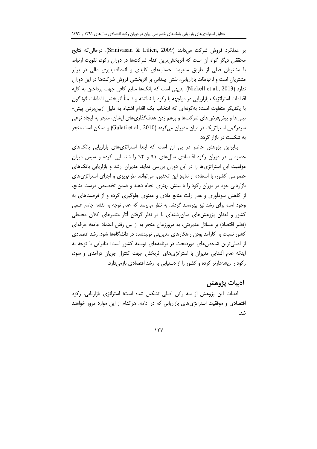بر عملكرد فروش شركت مىدانند (Srinivasan & Lilien, 2009)، درحالي كه نتايج محققان دیگر گواه آن است که اثربخش ترین اقدام شرکتها در دوران رکود، تقویت ارتباط با مشتریان فعلی از طریق مدیریت حسابهای کلیدی و انعطاف پذیری مالی در برابر مشتریان است و ارتباطات بازاریابی، نقش چندانی بر اثربخشی فروش شرکتها در این دوران ندارد (Nickell et al., 2013). بدیهی است که بانکها منابع کافی جهت پرداختن به کلیه اقدامات استراتژیک بازاریابی در مواجهه با رکود را نداشته و ضمناً اثربخشی اقدامات گوناگون با یکدیگر متفاوت است؛ بهگونهای که انتخاب یک اقدام اشتباه به دلیل ازبین بردن پیش-بینی ها و پیش فرض های شرکت ها و بر هم زدن هدف گذاری های ایشان، منجر به ایجاد نوعی سردرگمی استراتژیک در میان مدیران می¢ردد (Gulati et al., 2010) و ممکن است منجر به شکست در بازار گردد.

بنابراین پژوهش حاضر در پی آن است که ابتدا استراتژیهای بازاریابی بانکهای خصوصی در دوران رکود اقتصادی سال های ۹۱ و ۹۲ را شناسایی کرده و سپس میزان موفقیت این استراتژیها را در این دوران بررسی نماید. مدیران ارشد و بازاریابی بانکهای خصوصی کشور، با استفاده از نتایج این تحقیق، میتوانند طرح ریزی و اجرای استراتژیهای بازاریابی خود در دوران رکود را با بینش بهتری انجام دهند و ضمن تخصیص درست منابع، از کاهش سودآوری و هدر رفت منابع مادی و معنوی جلوگیری کرده و از فرصتهای به وجود آمده برای رشد نیز بهرهمند گردند. به نظر می رسد که عدم توجه به نقشه جامع علمی کشور و فقدان پژوهش های میان رشتهای با در نظر گرفتن آثار متغیرهای کلان محیطی (نظیر اقتصاد) بر مسائل مدیریتی، به مرورزمان منجر به از بین رفتن اعتماد جامعه حرفهای کشور نسبت به کارآمد بودن راهکارهای مدیریتی تولیدشده در دانشگاهها شود. رشد اقتصادی از اصلی ترین شاخص های موردبحث در برنامههای توسعه کشور است؛ بنابراین با توجه به اینکه عدم آشنایی مدیران با استراتژیهای اثربخش جهت کنترل جریان درآمدی و سود، رکود را ریشهدارتر کرده و کشور را از دستیابی به رشد اقتصادی بازمی دارد.

## ادبيات يژوهش

ادبیات این پژوهش از سه رکن اصلی تشکیل شده است؛ استراتژی بازاریابی، رکود اقتصادی و موفقیت استراتژیهای بازاریابی که در ادامه، هرکدام از این موارد مرور خواهند شد.

 $15Y$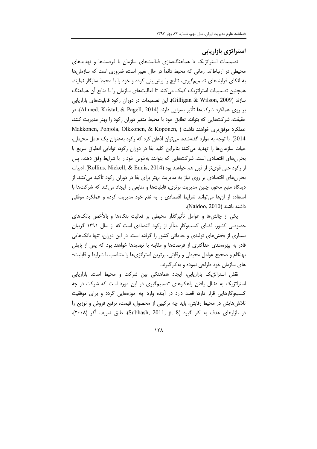#### استراتژی بازاریابی

تصمیمات استراتژیک با هماهنگسازی فعالیتهای سازمان با فرصتها و تهدیدهای محیطی در ارتباطاند. زمانی که محیط دائماً در حال تغییر است، ضروری است که سازمانها به اتکای فرایندهای تصمیمگیری، نتایج را پیش بینی کرده و خود را با محیط سازگار نمایند. همچنین تصمیمات استراتژیک کمک می کنند تا فعالیتهای سازمان را با منابع آن هماهنگ سازند (Gilligan & Wilson, 2009). این تصمیمات در دوران رکود قابلیتهای بازاریابی بر روى عملكرد شركتها تأثير بسزايي دارند (Ahmed, Kristal, & Pagell, 2014). در حقیقت، شرکتهایی که بتوانند تطابق خود با محیط متغیر دوران رکود را بهتر مدیریت کنند، Makkonen, Pohjola, Olkkonen, & Koponen, ) عملكرد موفق ترى خواهند داشت 2014). با توجه به موارد گفتهشده، می توان اذعان کرد که رکود بهعنوان یک عامل محیطی، حیات سازمانها را تهدید می کند؛ بنابراین کلید بقا در دوران رکود، توانایی انطباق سریع با بحران های اقتصادی است. شرکتهایی که بتوانند بهخوبی خود را با شرایط وفق دهند، پس از ركود حتى قوىتر از قبل هم خواهند بود (Rollins, Nickell, & Ennis, 2014). ادبيات بحرانهای اقتصادی بر روی نیاز به مدیریت بهتر برای بقا در دوران رکود تأکید میکنند. از دیدگاه منبع محور، چنین مدیریت برتری، قابلیتها و منابعی را ایجاد می کند که شرکتها با استفاده از آنها می توانند شرایط اقتصادی را به نفع خود مدیریت کرده و عملکرد موفقی داشته باشند (Naidoo, 2010).

یکی از چالش ها و عوامل تأثیرگذار محیطی بر فعالیت بنگاهها و بالأخص بانکهای خصوصی کشور، فضای کسبوکار متأثر از رکود اقتصادی است که از سال ۱۳۹۱ گریبان بسیاری از بخشهای تولیدی و خدماتی کشور را گرفته است. در این دوران، تنها بانکهایی قادر به بهرهمندی حداکثری از فرصتها و مقابله با تهدیدها خواهند بود که پس از پایش بهنگام و صحیح عوامل محیطی و رقابتی، برترین استراتژیها را متناسب با شرایط و قابلیت-های سازمان خود طراحی نموده و به کارگیرند.

نقش استراتژیک بازاریابی، ایجاد هماهنگی بین شرکت و محیط است. بازاریابی استراتژیک به دنبال یافتن راهکارهای تصمیمگیری در این مورد است که شرکت در چه کسبوکارهایی قرار دارد، قصد دارد در آینده وارد چه حوزههایی گردد و برای موفقیت تلاش هایش در محیط رقابتی، باید چه ترکیبی از محصول، قیمت، ترفیع فروش و توزیع را در بازارهای هدف به کار گیرد (Subhash, 2011, p. 8). طبق تعریف آکر (۲۰۰۸)،

 $15<sub>A</sub>$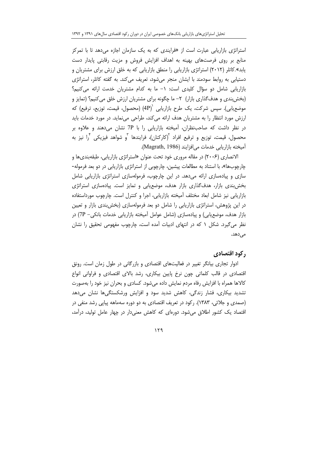استراتژی بازاریابی عبارت است از «فرایندی که به یک سازمان اجازه میدهد تا با تمرکز منابع بر روی فرصتهای بهینه به اهداف افزایش فروش و مزیت رقابتی پایدار دست یابد».کاتلر (۲۰۱۲) استراتژی بازاریابی را منطق بازاریابی که به خلق ارزش برای مشتریان و دستیابی به روابط سودمند با ایشان منجر میشود، تعریف میکند. به گفته کاتلر، استراتژی بازاریابی شامل دو سؤال کلیدی است: ١- ما به کدام مشتریان خدمت ارائه می کنیم؟ (بخش بندی و هدف گذاری بازار) ۲- ما چگونه برای مشتریان ارزش خلق می کنیم؟ (تمایز و موضع یابی). سپس شرکت، یک طرح بازاریابی <sup>(</sup>(4P) (محصول، قیمت، توزیع، ترفیع) که ارزش مورد انتظار را به مشتریان هدف ارائه می کند، طراحی می،نماید. در مورد خدمات باید در نظر داشت که صاحب:نظران، آمیخته بازاریابی را با 7P نشان میدهند و علاوه بر محصول، قیمت، توزیع و ترفیع افراد <sup>۲</sup>(کارکنان)، فرایندها <sup>۳</sup>و شواهد فیزیکی ۱٫<sup>۴</sup> نیز به آميخته بازاريابي خدمات مي افزايند (Magrath, 1986).

الانصاري (۲۰۰۶) در مقاله مروري خود تحت عنوان «استراتژي بازاريابي، طبقهبنديها و چارچوبها»، با استناد به مطالعات پیشین، چارچوبی از استراتژی بازاریابی در دو بعد فرموله-سازی و پیادهسازی ارائه می دهد. در این چارچوب، فرمولهسازی استراتژی بازاریابی شامل بخش بندی بازار، هدف گذاری بازار هدف، موضع یابی و تمایز است. پیادهسازی استراتژی بازاریابی نیز شامل ابعاد مختلف آمیخته بازاریابی، اجرا و کنترل است. چارچوب مورداستفاده در این پژوهش، استراتژی بازاریابی را شامل دو بعد فرمولهسازی (بخشبندی بازار و تعیین بازار هدف، موضعیابی) و پیادهسازی (شامل عوامل آمیخته بازاریابی خدمات بانکی- 7P) در نظر می گیرد. شکل ۱ که در انتهای ادبیات آمده است، چارچوب مفهومی تحقیق را نشان مے ،دھد.

### , کود اقتصادی

ادوار تجاری بیانگر تغییر در فعالیتهای اقتصادی و بازرگانی در طول زمان است. رونق اقتصادی در قالب کلماتی چون نرخ پایین بیکاری، رشد بالای اقتصادی و فراوانی انواع كالاها همراه با افزايش رفاه مردم نمايش داده مىشود. كسادى و بحران نيز خود را بهصورت تشدید بیکاری، فشار زندگی، کاهش شدید سود و افزایش ورشکستگیها نشان میدهد (صمدی و جلائی، ۱۳۸۳). رکود در تعریف اقتصادی به دو دوره سهماهه پیاپی رشد منفی در اقتصاد یک کشور اطلاق میشود. دورهای که کاهش معنیدار در چهار عامل تولید، درآمد،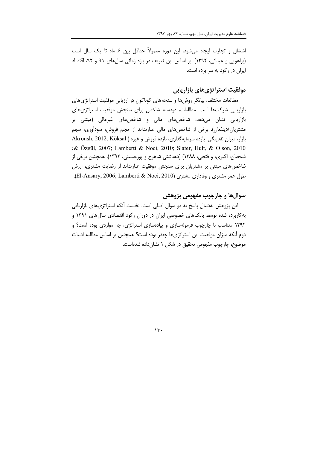اشتغال و تجارت ایجاد میشود. این دوره معمولاً حداقل بین ۶ ماه تا یک سال است (براهویی و عیدانی، ۱۳۹۲). بر اساس این تعریف در بازه زمانی سال های ۹۱ و ۹۲، اقتصاد ایران در رکود به سر برده است.

## موفقیت استراتژیهای بازاریابی

مطالعات مختلف، بیانگر روشها و سنجههای گوناگون در ارزیابی موفقیت استراتژیهای بازاریابی شرکتها است. مطالعات، دودسته شاخص برای سنجش موفقیت استراتژیهای بازاریابی نشان میدهد: شاخصهای مالی و شاخصهای غیرمالی (مبتنی بر مشتریان/ذینفعان). برخی از شاخصهای مالی عبارتاند از حجم فروش، سودآوری، سهم بازار، میزان نقدینگی، بازده سرمایهگذاری، بازده فروش و غیره ( Akroush, 2012; Köksal : & Özgül, 2007; Lamberti & Noci, 2010; Slater, Hult, & Olson, 2010 شیخیان، اکبری، و فتحی، ۱۳۸۸) (دهدشتی شاهرخ و پورحسینی، ۱۳۹۲). همچنین برخی از شاخصهای مبتنی بر مشتریان برای سنجش موفقیت عبارتاند از رضایت مشتری، ارزش طول عمر مشتری و وفاداری مشتری (El-Ansary, 2006; Lamberti & Noci, 2010).

## سوالها و چارچوب مفهومي پژوهش

این پژوهش بهدنبال پاسخ به دو سوال اصلی است. نخست آنکه استراتژیهای بازاریابی به کاربرده شده توسط بانکهای خصوصی ایران در دوران رکود اقتصادی سالهای ۱۳۹۱ و ۱۳۹۲ متناسب با چارچوب فرمولهسازی و پیادهسازی استراتژی، چه مواردی بوده است؟ و دوم أنكه ميزان موفقيت اين استراتژيها چقدر بوده است؟ همچنين بر اساس مطالعه ادبيات موضوع، چارچوب مفهومی تحقیق در شکل ۱ نشانداده شدهاست.

 $\mathcal{N}$ .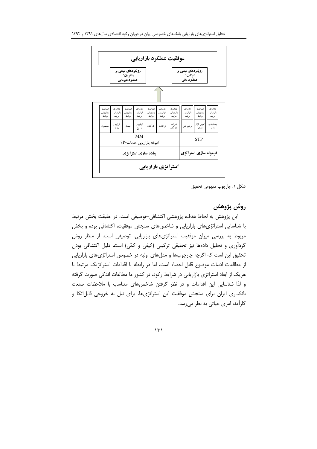

شکل ۱، چارچوب مفهومی تحقیق

## روش پژوهش

این پژوهش به لحاظ هدف، پژوهشی اکتشافی–توصیفی است. در حقیقت بخش مرتبط با شناسایی استراتژیهای بازاریابی و شاخصهای سنجش موفقیت، اکتشافی بوده و بخش مربوط به بررسی میزان موفقیت استراتژیهای بازاریابی، توصیفی است. از منظر روش گردآوری و تحلیل دادهها نیز تحقیقی ترکیبی (کیفی و کمّی) است. دلیل اکتشافی بودن تحقیق این است که اگرچه چارچوبها و مدلهای اولیه در خصوص استراتژیهای بازاریابی از مطالعات ادبیات موضوع قابل احصاء است، اما در رابطه با اقدامات استراتژیک مرتبط با هریک از ابعاد استراتژی بازاریابی در شرایط رکود، در کشور ما مطالعات اندکی صورت گرفته و لذا شناسایی این اقدامات و در نظر گرفتن شاخصهای متناسب با ملاحظات صنعت بانکداری ایران برای سنجش موفقیت این استراتژیها، برای نیل به خروجی قابل|تکا و كارآمد، امري حياتي به نظر مي رسد.

 $\mathcal{N}$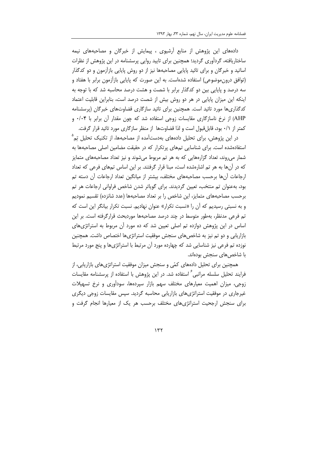دادههای این پژوهش از منابع آرشیوی ، پیمایش از خبرگان و مصاحبههای نیمه ساختاریافته، گردآوری گردید؛ همچنین برای تایید روایی پرسشنامه در این پژوهش از نظرات اساتید و خبرگان و برای تائید پایایی مصاحبهها نیز از دو روش پایایی بازآزمون و دو کدگذار (توافق درون،موضوعی) استفاده شدهاست. به این صورت که پایایی بازآزمون برابر با هفتاد و سه درصد و پایایی بین دو کدگذار برابر با شصت و هشت درصد محاسبه شد که با توجه به اینکه این میزان پایایی در هر دو روش بیش از شصت درصد است، بنابراین قابلیت اعتماد کدگذاریها مورد تائید است. همچنین برای تائید سازگاری قضاوتهای خبرگان (پرسشنامه AHP) از نرخ ناسازگاری مقایسات زوجی استفاده شد که چون مقدار آن برابر با ۰/۰۴ و كمتر از ٠/١ بود، قابلَّ قبول است و لذا قضاوتها ۖ از منظر سازگاري مورد تائيد قرار گرفت.

در این پژوهش، برای تحلیل دادههای بهدستآمده از مصاحبهها، از تکنیک تحلیل تِم ٌ استفادهشده است. برای شناسایی تمهای پرتکرار که در حقیقت مضامین اصلی مصاحبهها به شمار می روند، تعداد گزارههایی که به هر تم مربوط می شوند و نیز تعداد مصاحبههای متمایز که در آنها به هر تم اشارهشده است، مبنا قرار گرفتند. بر این اساس تمهای فرعی که تعداد ارجاعات أنها برحسب مصاحبههای مختلف، بیشتر از میانگین تعداد ارجاعات أن دسته تم بود، بهعنوان تم منتخب، تعیین گردیدند. برای گویاتر شدن شاخص فراوانی ارجاعات هر تم برحسب مصاحبههای متمایز، این شاخص را بر تعداد مصاحبهها (عدد شانزده) تقسیم نمودیم و به نسبتی رسیدیم که آن را «نسبت تکرار» عنوان نهادیم. نسبت تکرار بیانگر این است که تم فرعی مدنظر، بەطور متوسط در چند درصد مصاحبهها موردبحث قرارگرفته است. بر این اساس در این پژوهش دوازده تم اصلی تعیین شد که ده مورد آن مربوط به استراتژیهای بازاریابی و دو تم نیز به شاخصهای سنجش موفقیت استراتژیها اختصاص داشت. همچنین نوزده تم فرعی نیز شناسایی شد که چهارده مورد آن مرتبط با استراتژیها و پنج مورد مرتبط با شاخص های سنجش بودهاند.

همچنین برای تحلیل دادههای کمّی و سنجش میزان موفقیت استراتژیهای بازاریابی، از فرایند تحلیل سلسله مراتبی<sup>۶</sup> استفاده شد. در این پژوهش با استفاده از پرسشنامه مقایسات زوجی، میزان اهمیت معیارهای مختلف سهم بازار سپردهها، سودآوری و نرخ تسهیلات غیرجاری در موفقیت استراتژیهای بازاریابی محاسبه گردید. سپس مقایسات زوجی دیگری برای سنجش ارجحیت استراتژیهای مختلف برحسب هر یک از معیارها انجام گرفت و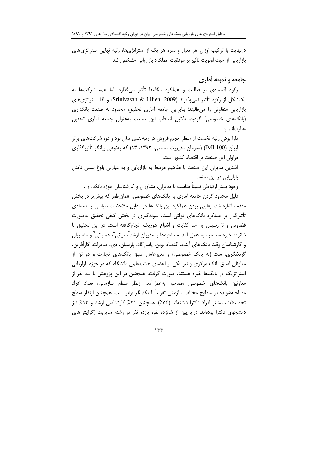درنهایت با ترکیب اوزان هر معیار و نمره هر یک از استراتژیها، رتبه نهایی استراتژیهای بازاریابی از حیث اولویت تأثیر بر موفقیت عملکرد بازاریابی مشخص شد.

### جامعه و نمونه أماري

رکود اقتصادی بر فعالیت و عملکرد بنگاهها تأثیر میگذارد؛ اما همه شرکتها به یکشکل از رکود تأثیر نمی پذیرند (Srinivasan & Lilien, 2009) و لذا استراتژی های بازاریابی متفاوتی را میطلبند؛ بنابراین جامعه آماری تحقیق، محدود به صنعت بانکداری (بانکهای خصوصی) گردید. دلایل انتخاب این صنعت بهعنوان جامعه آماری تحقیق عبارت|ند |ز:

دارا بودن رتبه نخست از منظر حجم فروش در رتبهبندی سال نود و دو، شرکتهای برتر ایران (IMI-100) (سازمان مدیریت صنعتی، ۱۳۹۳، ۱۳) که بهنوعی بیانگر تأثیرگذاری فراوان این صنعت بر اقتصاد کشور است.

آشنایی مدیران این صنعت با مفاهیم مرتبط به بازاریابی و به عبارتی بلوغ نسبی دانش بازاریابی در این صنعت.

وجود بستر ارتباطی نسبتاً مناسب با مدیران، مشاوران و کارشناسان حوزه بانکداری.

دلیل محدود کردن جامعه آماری به بانکهای خصوصی، همان طور که پیش تر در بخش مقدمه اشاره شد، رقابتی بودن عملکرد این بانکها در مقابل ملاحظات سیاسی و اقتصادی تأثیر گذار بر عملکرد بانکهای دولتی است. نمونهگیری در بخش کیفی تحقیق بهصورت قضاوتی و تا رسیدن به حد کفایت و اشباع تئوریک انجامگرفته است. در این تحقیق با شانزده خبره مصاحبه به عمل آمد. مصاحبهها با مدیران ارشد<sup>۷</sup>، میانی^، عملیاتی<sup>۹</sup> و مشاوران و كارشناسان وقت بانك@اي آينده، اقتصاد نوين، پاسارگاد، پارسيان، دي، صادرات، كارآفرين، گردشگری، ملت (نه بانک خصوصی) و مدیرعامل اسبق بانکهای تجارت و دو تن از معاونان اسبق بانک مرکزی و نیز یکی از اعضای هیئتعلمی دانشگاه که در حوزه بازاریابی استراتژیک در بانکها خبره هستند، صورت گرفت. همچنین در این پژوهش با سه نفر از معاونین بانکھای خصوصی مصاحبه بهعمل[مد. ازنظر سطح سازمانی، تعداد افراد مصاحبهشونده در سطوح مختلف سازمانی تقریباً با یکدیگر برابر است. همچنین ازنظر سطح تحصیلات، بیشتر افراد دکترا داشتهاند (۵۶٪). همچنین ۳۱٪ کارشناسی ارشد و ۱۳٪ نیز دانشجوی دکترا بودهاند. دراین بین از شانزده نفر، یازده نفر در رشته مدیریت (گرایش های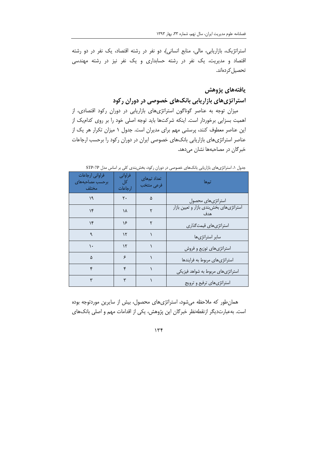استراتژیک، بازاریابی، مالی، منابع انسانی)، دو نفر در رشته اقتصاد، یک نفر در دو رشته اقتصاد و مدیریت، یک نفر در رشته حسابداری و یک نفر نیز در رشته مهندسی تحصیل کر دہاند.

# يافتههاي يژوهش استراتژیهای بازاریابی بانکهای خصوصی در دوران رکود

میزان توجه به عناصر گوناگون استراتژیهای بازاریابی در دوران رکود اقتصادی، از اهمیت بسزایی برخوردار است. اینکه شرکتها باید توجه اصلی خود را بر روی کدامیک از این عناصر معطوف کنند، پرسشی مهم برای مدیران است. جدول ۱ میزان تکرار هر یک از عناصر استراتژیهای بازاریابی بانکهای خصوصی ایران در دوران رکود را برحسب ارجاعات خبرگان در مصاحبهها نشان می دهد.

| فراواني ارجاعات<br>برحسب مصاحبههای<br>مختلف | فراواني<br>کل ِ<br>ار جاعات | تعداد تہھا <i>ی</i><br>فرعى منتخب | تمها                                            |
|---------------------------------------------|-----------------------------|-----------------------------------|-------------------------------------------------|
| ۱۹                                          | $\mathsf{r}$ .              | ۵                                 | استراتژیهای محصول                               |
| ۱۴                                          | ١٨                          | ٢                                 | استراتژیهای بخش بندی بازار و تعیین بازار<br>هدف |
| $\gamma$                                    | ۱۶                          | ٢                                 | استراتژىهاى قيمتگذارى                           |
| ٩                                           | $\mathcal{N}$               |                                   | سایر استراتژیها                                 |
| ١.                                          | $\mathcal{N}$               |                                   | استراتژیهای توزیع و فروش                        |
| ۵                                           | ۶                           |                                   | استراتژىهاى مربوط به فرايندها                   |
| ۴                                           | ۴                           |                                   | استراتژیهای مربوط به شواهد فیزیکی               |
| ٣                                           | ٣                           |                                   | استراتژیهای ترفیع و ترویج                       |

جدول ١، استراتژیهای بازاریابی بانکهای خصوصی در دوران رکود، بخش بندی کلی بر اساس مدل STP-7P

همان طور که ملاحظه می شود، استراتژی های محصول، بیش از سایرین موردتوجه بوده است. بهعبارتدیگر ازنقطهنظر خبرگان این پژوهش، یکی از اقدامات مهم و اصلی بانکهای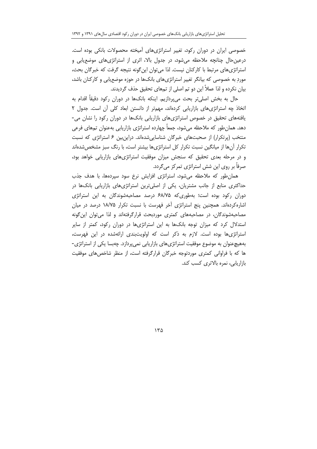خصوصی ایران در دوران رکود، تغییر استراتژیهای آمیخته محصولات بانکی بوده است. درعین حال چنانچه ملاحظه می شود، در جدول بالا، اثری از استراتژی های موضع یابی و استراتژیهای مرتبط با کارکنان نیست. لذا می توان این گونه نتیجه گرفت که خبرگان بحث، موردِ به خصوصی که بیانگر تغییر استراتژیهای بانکها در حوزه موضعیابی و کارکنان باشد، بيان نكرده و لذا عملاً اين دو تم اصلي از تمهاي تحقيق حذف گرديدند.

حال به بخش اصليتر بحث مي پردازيم. اينكه بانكها در دوران ركود دقيقاً اقدام به اتخاذ چه استراتژی های بازاریابی کردهاند، مهمتر از دانستن ابعاد کلی آن است. جدول ۲ یافتههای تحقیق در خصوص استراتژیهای بازاریابی بانکها در دوران رکود را نشان می-دهد. همانطور که ملاحظه میشود، جمعاً چهارده استراتژی بازاریابی بهعنوان تمهای فرعی منتخب (پرتکرار) از صحبتهای خبرگان شناسایی شدهاند. دراین بین ۶ استراتژی که نسبت تکرار آنها از میانگین نسبت تکرار کل استراتژیها بیشتر است، با رنگ سبز مشخصشدهاند و در مرحله بعدی تحقیق که سنجش میزان موفقیت استراتژیهای بازاریابی خواهد بود، صرفاً بر روی این شش استراتژی تمرکز می گردد.

همان طور که ملاحظه می شود، استراتزی افزایش نرخ سود سپردهها، با هدف جذب حداکثری منابع از جانب مشتریان، یکی از اصلیترین استراتژیهای بازاریابی بانکها در دوران رکود بوده است؛ بهطوری که ۶۸/۷۵ درصد مصاحبهشوندگان به این استراتژی اشاره کردهاند. همچنین پنج استراتژی آخر فهرست با نسبت تکرار ۱۸/۷۵ درصد در میان مصاحبهشوندگان، در مصاحبههای کمتری موردبحث قرارگرفتهاند و لذا می توان این گونه استدلال کرد که میزان توجه بانکها به این استراتژیها در دوران رکود، کمتر از سایر استراتژیها بوده است. لازم به ذکر است که اولویتبندی ارائهشده در این فهرست، بههیچعنوان به موضوع موفقیت استراتژیهای بازاریابی نمیپردازد. چهبسا یکی از استراتژی-ها که با فراوانی کمتری موردتوجه خبرگان قرارگرفته است، از منظر شاخص های موفقیت بازاریابی، نمره بالاتری کسب کند.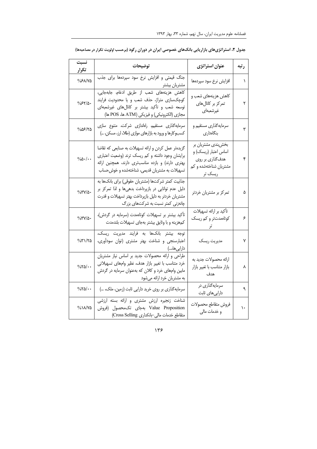| نسبت<br>تكرار                 | توضيحات                                                                                                                                                                                                        | عنوان استراتژي                                                                                      | رتبه          |
|-------------------------------|----------------------------------------------------------------------------------------------------------------------------------------------------------------------------------------------------------------|-----------------------------------------------------------------------------------------------------|---------------|
| %۶۸/V۵                        | جنگ قیمتی و افزایش نرخ سود سپردهها برای جذب<br>مشتریان بیشتر<br>کاهش هزینههای شعب از طریق ادغام، جابهجایی،                                                                                                     | افزایش نرخ سود سپردهها                                                                              | ١             |
| $\frac{1}{2}$ $\frac{1}{2}$   | کوچکسازی متراژ، حذف شعب و یا محدودیت فرایند<br>توسعه شعب و تأكيد بيشتر بر كانالهاى غيرشعبهاى<br>مجازى (الكترونيكي) و فيزيكي (ATM ها، POS ها)                                                                   | كاهش هزينههاي شعب و<br>تمرکز بر کانالهای<br>غيرشعبهاي                                               | ٢             |
| %۵۶/۲۵                        | سرمایهگذاری مستقیم، راهاندازی شرکت، متنوع سازی<br>كسبوكارها و ورود به بازارهاى موازى (طلا، ارز، مسكن، )                                                                                                        | سرمایهگذاری مستقیم و<br>بنگاهداری                                                                   | ٣             |
| $\frac{1}{200}$ ./            | گزیدهتر عمل کردن و ارائه تسهیلات به صنایعی که تقاضا<br>برایشان وجود داشته و کم ریسک ترند (وضعیت اعتباری<br>بهتری دارند) و بازده مناسبتری دارند، همچنین ارائه<br>تسهیلات به مشتریان قدیمی، شناختهشده و خوش حساب | بخشبندي مشتريان بر<br>اساس اعتبار (ریسک) و<br>هدف گذاري بر روي<br>مشتریان شناختهشده و کم<br>ریسک تر | ۴             |
| $\frac{9}{6}$ $\frac{1}{6}$ . | جذابیت کمتر شرکتها (مشتریان حقوقی) برای بانکها به<br>دلیل عدم توانایی در بازپرداخت بدهیها و لذا تمرکز بر<br>مشتریان خردتر به دلیل بازپرداخت بهتر تسهیلات و قدرت<br>چانەزنى كمتر نسبت بە شركتھاى بزرگ           | تمرکز بر مشتریان خردتر                                                                              | ۵             |
| $\frac{9}{6}$ $\sqrt{10}$ .   | تأکید بیشتر بر تسهیلات کوتاهمدت (سرمایه در گردش)،<br>كمهزينه وبا وثايق بيشتر بهجاي تسهيلات بلندمدت                                                                                                             | تأكيد بر ارائه تسهيلات<br>کوتاهمدتتر و کم ریسک<br>س س                                               | ۶             |
| %۳۱/۲۵                        | توجه بیشتر بانکها به فرایند مدیریت ریسک،<br>اعتبارسنجي و شناخت بهتر مشتري (توان سودآوري،<br>داراییها،)                                                                                                         | مديريت ريسك                                                                                         | ٧             |
|                               | طراحی و ارائه محصولات جدید بر اساس نیاز مشتریان<br>خرد متناسب با تغییر بازار هدف، نظیر وامهای تسهیلاتی<br>مابین وامهای خرد و کلان که بهعنوان سرمایه در گردش<br>به مشتریان خرد ارائه میشود                      | ارائه محصولات جديد به<br>بازار متناسب با تغيير بازار<br>هدف                                         | ٨             |
| $\%$ ۲۵/ $\cdot$              | سرمایهگذاری بر روی خرید دارایی ثابت (زمین، ملک، …)                                                                                                                                                             | سرمايهگذاري در<br>داراییهای ثابت                                                                    | ٩             |
| $\%$ \A/YA                    | شناخت زنجیره ارزش مشتری و ارائه بسته ارزشی<br>Value Proposition بهجاى تكمحصول (فروش<br>متقاطع خدمات مالي-بانكداري Cross Selling)                                                                               | فروش متقاطع محصولات<br>و خدمات مالي                                                                 | $\mathcal{L}$ |

جدول ۲، استراتژیهای بازاریابی بانکهای خصوصی ایران در دوران رکود (برحسب اولویت تکرار در مصاحبهها)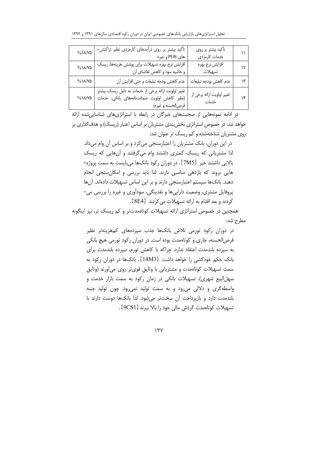تحلیل استراتژیهای بازاریابی بانکهای خصوصی ایران در دوران رکود اقتصادی سالهای ١٣٩١ و ١٣٩٢

| $\%$ \ $\lambda$ / Y $\Delta$ | تأکید بیشتر بر روی درآمدهای کارمزدی نظیر تراکنش-<br>های POS و غیره                                                      | تأكيد بيشتر بر روى<br>خدمات كارمزدى |    |
|-------------------------------|-------------------------------------------------------------------------------------------------------------------------|-------------------------------------|----|
| $\%$ ۱۸/۷۵                    | افزایش نرخ بهره تسهیلات برای پوشش هزینهها، ریسک<br>و حاشیه سود و کاهش تقاضای آن                                         | افزايش نرخ بهره<br>تسهيلات          | ۱۲ |
| $\%$ \A/YA                    | عدم كاهش بودجه تبليغات وحتى افزايش آن                                                                                   | عدم كاهش بودجه تبليغات              | ۱۳ |
| $\%$ \ $\lambda$ /Ya          | تغییر اولویت ارائه برخی از خدمات به دلیل ریسک بیشتر<br>(نظیر کاهش اولویت ضمانتنامههای بانکی، خدمات<br>قرضالحسنه و غيره) | تغيير اولويت ارائه برخى از<br>خدمات | ۱۴ |

در ادامه نمونههایی از صحبتهای خبرگان در رابطه با استراتژیهای شناسایی شده ارائه خواهد شد. در خصوص استراتژی بخش بندی مشتریان بر اساس اعتبار (ریسک) و هدف گذاری بر روی مشتریان شناختهشده و کم ریسک تر عنوان شد:

در این دوران، بانک مشتریان را اعتبارسنجی می کرد و بر اساس آن وام می داد. لذا مشتریانی که ریسک کمتری داشتند وام میگرفتند و آنهایی که ریسک بالایی داشتند خیر {7M5}. در دوران رکود بانکها می،بایست به سمت پروژه-هایی بروند که بازدهی مناسبی دارند. لذا باید بررسی و امکان سنجی انجام دهند. بانکها سیستم اعتبارسنجی دارند و بر این اساس تسهیلات دادهاند. آنها پروفایل مشتری، وضعیت داراییها و نقدینگی، سودآوری و غیره را بررسی می-کردند و بعد اقدام به ارائه تسهیلات می کردند {8E4}.

همچنین در خصوص استراتژی ارائه تسهیلات کوتاهمدتتر و کم ریسک تر، نیز اینگونه مطرح شد:

در دوران رکود تورمی تلاش بانکها جذب سپردههای کمهزینهتر نظیر قرضالحسنه، جاری و کوتاهمدت بوده است. در دوران رکود تورمی هیچ بانکی به سپرده بلندمدت اعتقاد ندارد. چراکه با کاهش تورم، سپرده بلندمدت برای بانک حکم خودکشی را خواهد داشت {14M3}. بانک@ا در دوران رکود به سمت تسهیلات کوتاهمدت و مشتریانی با وثایق قویتر روی میآورند (وثایق سهلالبیع شهری). تسهیلات بانکی در زمان رکود به سمت بازار خدمت و واسطه گری و دلالی می رود و به سمت تولید نمی رود. چون تولید جنبه بلندمدت دارد و بازپرداخت أن سختتر میشود. لذا بانکها دوست دارند با تسهیلات کوتاەمدت گردش مالی خود را بالا ببرند {9CS1}.

 $\gamma$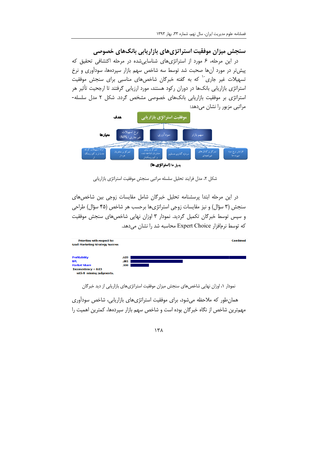سنجش میزان موفقیت استراتژیهای بازاریابی بانکهای خصوصی

در این مرحله، ۶ مورد از استراتژیهای شناساییشده در مرحله اکتشافی تحقیق که در این مرحله، ۶ مورد از استراتژیهای شناساییشده در مرحله اکتشافی تحقیق که<br>پیش7ر در مورد آنها صحبت شد توسط سه شاخص سهم بازار سپردهها، سودآوری و نرخ تسهیلات غیر جاری<sup>۱۰</sup> که به گفته خبرگان شاخصهای مناسبی برای سنجش موفقیت استراتژی بازاریابی بانکها در دوران رکود هستند، مورد ارزیابی گرفتند تا ارجحیت تأثیر هر استراتژی بر موفقیت بازاریابی بانکهای خصوصی مشخص گردد. شکل ۲ مدل سلسله-مراتبی مزبور را نشان میدهد:



شکل ۲، مدل فرایند تحلیل سلسله مراتبی سنجش موفقیت استراتژی بازاریابی

در این مرحله ابتدا پرسشنامه تحلیل خبرگان شامل مقایسات زوجی بین شاخصهای (۳ سؤال) و نیز مقایسات زوجی استراتژیها برحسب هر شاخص (۴۵ سؤال) طراحی و سپس توسط خبرگان تکمیل گردید. نمودار ۳ اوزان نهایی شاخصهای سنجش موفقیت که توسط نرم|فزار Expert Choice محاسبه شد را نشان میدهد.

|                                                                                                            | و سپس توسط خبرگان تکمیل گردید. نمودار ۳ اوزان نهایی شاخصهای سنجش موفقیت<br>كه توسط نرمافزار Expert Choice محاسبه شد را نشان مىدهد. |
|------------------------------------------------------------------------------------------------------------|------------------------------------------------------------------------------------------------------------------------------------|
| <b>Priorities with respect to:</b><br><b>Goal: Marketing Strategy Success</b>                              | <b>Combined</b>                                                                                                                    |
| <b>Profitability</b><br>NPL.<br><b>Market Share</b><br>$Inconsistency = 0.03$<br>with 0 missing judgments. | .619<br>.281<br>.100                                                                                                               |
|                                                                                                            | نمودار ۱، اوزان نهایی شاخصهای سنجش میزان موفقیت استراتژیهای بازاریابی از دید خبرگان                                                |
|                                                                                                            | همانطور که ملاحظه میشود، برای موفقیت استراتژیهای بازاریابی، شاخص سودآوری                                                           |
|                                                                                                            | مهمترین شاخص از نگاه خبرگان بوده است و شاخص سهم بازار سپردهها، کمترین اهمیت را                                                     |

 $15<sub>\lambda</sub>$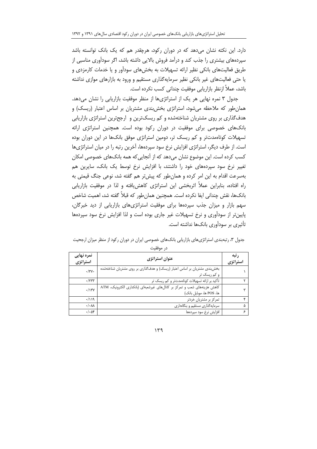دارد. این نکته نشان میدهد که در دوران رکود، هرچقدر هم که یک بانک توانسته باشد سپردههای بیشتری را جذب کند و درآمد فروش بالایی داشته باشد، اگر سودآوری مناسبی از طریق فعالیتهای بانکی نظیر ارائه تسهیلات به بخش های سودآور و یا خدمات کارمزدی و یا حتی فعالیتهای غیر بانکی نظیر سرمایهگذاری مستقیم و ورود به بازارهای موازی نداشته باشد، عملاً ازنظر بازاریابی موفقیت چندانی کسب نکرده است.

جدول ۳ نمره نهایی هر یک از استراتژیها از منظر موفقیت بازاریابی را نشان میدهد. همان طور که ملاحظه می شود، استراتژی بخش بندی مشتریان بر اساس اعتبار (ریسک) و هدف\$ذاری بر روی مشتریان شناختهشده و کم ریسکترین و ارجحترین استراتژی بازاریابی بانکهای خصوصی برای موفقیت در دوران رکود بوده است. همچنین استراتژی ارائه تسهیلات کوتاهمدتتر و کم ریسک تر، دومین استراتژی موفق بانکها در این دوران بوده است. از طرف دیگر، استراتژی افزایش نرخ سود سپردهها، آخرین رتبه را در میان استراتژیها کسب کرده است. این موضوع نشان می دهد که از آنجایی که همه بانک های خصوصی امکان تغییر نرخ سود سپردههای خود را داشتند، با افزایش نرخ توسط یک بانک، سایرین هم بهسرعت اقدام به این امر کرده و همان طور که پیش تر هم گفته شد، نوعی جنگ قیمتی به راه افتاده، بنابراین عملاً اثربخشی این استراتژی کاهش یافته و لذا در موفقیت بازاریابی بانکـها، نقش چندانی ایفا نکرده است. همچنین همانِطور که قبلاً گفته شد، اهمیت شاخص سهم بازار و میزان جذب سپردهها برای موفقیت استراتژیهای بازاریابی از دید خبرگان، پایین تر از سودآوری و نرخ تسهیلات غیر جاری بوده است و لذا افزایش نرخ سود سپردهها تأثیری بر سودآوری بانکها نداشته است.

| جدول ۳، رتبهبندی استراتژیهای بازاریابی بانکهای خصوصی ایران در دوران رکود از منظر میزان ارجحیت |  |
|-----------------------------------------------------------------------------------------------|--|
| در موفقيت                                                                                     |  |

| <b>نمره نهایی</b><br>استراتژی | عنوان استراتژي                                                                                       | ر تبه<br>استراتژی |
|-------------------------------|------------------------------------------------------------------------------------------------------|-------------------|
| $\cdot/\tau\gamma$ .          | بخش بندی مشتریان بر اساس اعتبار (ریسک) و هدف گذاری بر روی مشتریان شناختهشده<br>و کم ریسک تر          |                   |
| .777                          | تأکید بر ارائه تسهیلات کوتاهمدتتر و کم ریسک تر                                                       |                   |
| .117V                         | کاهش هزینههای شعب و تمرکز بر کانالهای غیرشعبهای (بانکداری الکترونیک، ATM<br>ها، POS ها، موبايل بانک) |                   |
| ۰/۱۱۹                         | تمرکز بر مشتریان خردتر                                                                               |                   |
| $\cdot/\cdot\lambda\lambda$   | سرمایهگذاری مستقیم و بنگاهداری                                                                       | ۵                 |
| $. / . \Delta f$              | افزایش نرخ سود سپردەها                                                                               | ۶                 |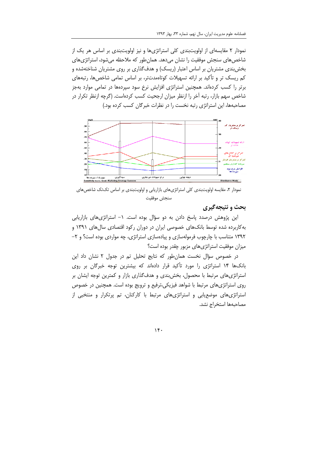نمودار ۲ مقایسهای از اولویتبندی کلی استراتژیها و نیز اولویتبندی بر اساس هر یک از شاخصهای سنجش موفقیت را نشان میدهد. همانطور که ملاحظه میشود، استراتژیهای بخش بندی مشتریان بر اساس اعتبار (ریسک) و هدف\$ذاری بر روی مشتریان شناختهشده و کم ریسک تر و تأکید بر ارائه تسهیلات کوتاهمدتتر، بر اساس تمامی شاخصها، رتبههای برتر را کسب کردهاند. همچنین استراتژی افزایش نرخ سود سپردهها در تمامی موارد بهجز شاخص سهم بازار، رتبه آخر را ازنظر میزان ارجحیت کسب کردهاست. (گرچه ازنظر تکرار در مصاحبهها، این استراتژی رتبه نخست را در نظرات خبرگان کسب کرده بود.)



نمودار ۲، مقایسه اولویتبندی کلی استراتژیهای بازاریابی و اولویتبندی بر اساس تکتک شاخصهای سنجش موفقيت

## يحث و نتيجه گيري

این پژوهش درصدد پاسخ دادن به دو سؤال بوده است. ۱– استراتژیهای بازاریابی به کاربرده شده توسط بانکهای خصوصی ایران در دوران رکود اقتصادی سالهای ۱۳۹۱ و ۱۳۹۲ متناسب با چارچوب فرمولهسازی و پیادهسازی استراتژی، چه مواردی بوده است؟ و ۲-میزان موفقیت استراتژیهای مزبور چقدر بوده است؟

در خصوص سؤال نخست همان طور كه نتايج تحليل تم در جدول ٢ نشان داد اين بانکها ۱۴ استراتژی را مورد تأکید قرار دادهاند که بیشترین توجه خبرگان بر روی استراتژیهای مرتبط با محصول، بخش بندی و هدف گذاری بازار و کمترین توجه ایشان بر روی استراتژیهای مرتبط با شواهد فیزیکی،ترفیع و ترویج بوده است. همچنین در خصوص استراتژیهای موضعیابی و استراتژیهای مرتبط با کارکنان، تم پرتکرار و منتخبی از مصاحبهها استخراج نشد.

 $14.$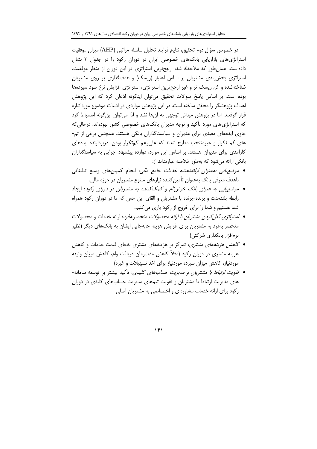در خصوص سؤال دوم تحقيق، نتايج فرايند تحليل سلسله مراتبي (AHP) ميزان موفقيت استراتژیهای بازاریابی بانکهای خصوصی ایران در دوران رکود را در جدول ۳ نشان دادهاست. همان طور که ملاحظه شد، ارجحترین استراتژی در این دوران از منظر موفقیت، استراتژی بخش بندی مشتریان بر اساس اعتبار (ریسک) و هدف گذاری بر روی مشتریان شناختهشده و کم ریسک تر و غیر ارجح ترین استراتژی، استراتژی افزایش نرخ سود سپردهها بوده است. بر اساس پاسخ سوالات تحقیق می توان اینگونه اذعان کرد که این پژوهش اهداف پژوهشگر را محقق ساخته است. در این پژوهش مواردی در ادبیات موضوع مورداشاره قرار گرفتند، اما در پژوهش میدانی توجهی به آنها نشد و لذا می توان این گونه استنباط کرد که استراتژیهای مورد تأکید و توجه مدیران بانکهای خصوصی کشور نبودهاند، درحالی که حاوی ایدههای مفیدی برای مدیران و سیاستگذاران بانکی هستند. همچنین برخی از تم-های کم تکرار و غیرمنتخب مطرح شدند که علی غم کمتکرار بودن، دربردارنده ایدههای کارآمدی برای مدیران هستند. بر اساس این موارد، دوازده پیشنهاد اجرایی به سیاستگذاران بانکی ارائه می شود که بهطور خلاصه عبارتاند از:

- موضع *یابی به عنوان ارائه دهنده خدمات جامع مالی*: انجام کمپینهای وسیع تبلیغاتی باهدف معرفی بانک بهعنوان تأمین کننده نیازهای متنوع مشتریان در حوزه مالی.
- موضع *یابی به عنوان بانک خوش نام و کمک کننده به مشتریان در دوران رکود*: ایجاد رابطه بلندمدت و برنده-برنده با مشتریان و القای این حس که ما در دوران رکود همراه شما هستیم و شما را برای خروج از رکود پاری می کنیم.
- استراتژی قفل کردن مشتریان با ارائه محصولات منحصربهفرد: ارائه خدمات و محصولات منحصر بهفرد به مشتریان برای افزایش هزینه جابهجایی ایشان به بانکهای دیگر (نظیر نرمافزار بانکداری شرکتی)
- ک*اهش هزینههای مشتری*: تمرکز بر هزینههای مشتری بهجای قیمت خدمات و کاهش هزینه مشتری در دوران رکود (مثلاً کاهش مدتزمان دریافت وام، کاهش میزان وثیقه موردنیاز، کاهش میزان سپرده موردنیاز برای اخذ تسهیلات و غیره)
- تق*ویت ارتباط با مشتریان و مدیریت حسابهای کلیدی*: تأکید بیشتر بر توسعه سامانه-های مدیریت ارتباط با مشتریان و تقویت تیمهای مدیریت حسابهای کلیدی در دوران رکود برای ارائه خدمات مشاورهای و اختصاصی به مشتریان اصلی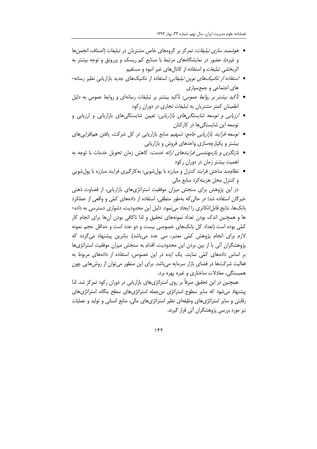- م*وشمند سازی تبلیغات*: تمرکز بر گروههای خاص مشتریان در تبلیغات (اصناف، انجمنها و غیره)، حضور در نمایشگاههای مرتبط با صنایع کم ریسک و پررونق و توجه بیشتر به اثربخشی تبلیغات و استفاده از کانالهای غیر انبوه و مستقیم
- *استفاده از تکنیکهای نوین تبلیغاتی:* استفاده از تکنیکهای جدید بازاریابی نظیر رسانه-های اجتماعی و جمعسپاری
- ت*أكيد بيشتر بر روابط عمومي*: تأكيد بيشتر بر تبليغات رسانهاي و روابط عمومي به دليل اطمینان کمتر مشتریان به تبلیغات تجاری در دوران رکود
- *ارزیابی و توسعه شایستگیهای بازاریابی*: تعیین شایستگیهای بازاریابی و ارزیابی و توسعه این شایستگی ها در کارکنان
- ت*وسعه فرایند بازاریابی جامع*: تسهیم منابع بازاریابی در کل شرکت، یافتن همافزایی های بیشتر و یکپارچهسازی واحدهای فروش و بازاریابی
- *بازنگری و بازمهندسی فرایندهای ارائه خدمت*: کاهش زمان تحویل خدمات با توجه به اهمیت بیشتر زمان در دوران رکود
- نظام مند ساختن فرایند کنترل و مبارزه با پولشویی: به کارگیری فرایند مبارزه با پولشویی و کنترل محل هزینه کرد منابع مالی

در این پژوهش برای سنجش میزان موفقیت استراتژیهای بازاریابی، از قضاوت ذهنی خبرگان استفاده شد؛ در حالی که بهطور منطقی، استفاده از دادههای کمّی و واقعی از عملکرد بانکها، نتایج قابل|تکاتری را ایجاد مینمود. دلیل این محدودیت، دشواری دسترسی به داده-ها و همچنین اندک بودن تعداد نمونههای تحقیق و لذا ناکافی بودن آنها برای انجام کار کمّی بوده است (تعداد کل بانکهای خصوصی بیست و دو عدد است و حداقل حجم نمونه لازم برای انجام پژوهش کمّی معتبر، سی عدد می باشد). بنابرین پیشنهاد می گردد که پژوهشگران آتی با از بین بردن این محدودیت، اقدام به سنجش میزان موفقیت استراتژیها بر اساس دادههای کمّی نمایند. یک ایده در این خصوص، استفاده از دادههای مربوط به فعالیت شرکتها در فضای بازار سرمایه میباشد. برای این منظور میتوان از روشهایی چون همبستگی، معادلات ساختاری و غیره بهره برد.

همچنین در این تحقیق صرفاً بر روی استراتژیهای بازاریابی در دوران رکود تمرکز شد. لذا پیشنهاد می شود که سایر سطوح استراتژی من جمله استراتژی های سطح بنگاه، استراتژی های رقابتی و سایر استراتژیهای وظیفهای نظیر استراتژیهای مالی، منابع انسانی و تولید و عملیات نیز مورد بررسی پژوهشگران آتی قرار گیرند.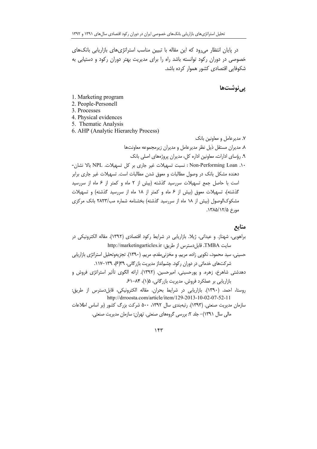در پایان انتظار می رود که این مقاله با تبیین مناسب استراتژی های بازاریابی بانک های خصوصی در دوران رکود توانسته باشد راه را برای مدیریت بهتر دوران رکود و دستیابی به شکوفایی اقتصادی کشور هموار کرده باشد.

# <u>پى</u>نوشتھا

- 1. Marketing program
- 2. People-Personell
- 3. Processes
- 4. Physical evidences
- 5. Thematic Analysis
- 6. AHP (Analytic Hierarchy Process)

٧. مديرعامل و معاونين بانک ٨. مديران مستقل ذيل نظر مديرعامل و مديران زيرمجموعه معاونتها

۹. رؤسای ادارات، معاونین اداره کل، مدیران پروژههای اصلی بانک

١٠. Non-Performing Loan : نسبت تسهيلات غير جارى بر كل تسهيلات. NPL بالا نشان-دهنده مشکل بانک در وصول مطالبات و معوق شدن مطالبات است. تسهیلات غیر جاری برابر است با حاصل جمع تسهیلات سررسید گذشته (بیش از ٢ ماه و کمتر از ۶ ماه از سررسید گذشته)، تسهیلات معوق (بیش از ۶ ماه و کمتر از ۱۸ ماه از سررسید گذشته) و تسهیلات مشکوکالوصول (بیش از ۱۸ ماه از سررسید گذشته) بخشنامه شماره مب/۲۸۲۳ بانک مرکزی مورخ ١٣٨۵/١٢/٥.

### منابع

بازاریابی بر عملکرد فروش. مدیریت بازرگانی، ۱۵(۱)، ۸۴–۶۱

روستا، احمد. (١٣٩٠). بازاريابي در شرايط بحران. مقاله الكترونيكي، قابل دسترس از طريق: http://drroosta.com/article/item/129-2013-10-02-07-52-11

سازمان مدیریت صنعتی. (۱۳۹۳). رتبهبندی سال ۱۳۹۲، ۵۰۰ شرکت بزرگ کشور (بر اساس اطلاعات

مالی سال ۱۳۹۱)– جلد ۲: بررسی گروههای صنعتی. تهران: سازمان مدیریت صنعتی.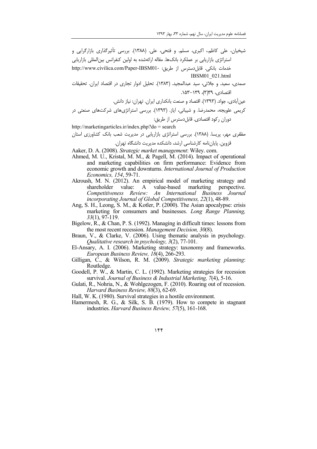شيخيان، علي كاظم.، اكبري، مسلم. و فتحي، علي. (١٣٨٨). بررسي تأثيرگذاري بازارگرايي و استراتژی بازاریابی بر عملکرد بانکها. مقاله ارائهشده به اولین کنفرانس بینالمللی بازاریابی خدمات بانكى. قابل دسترس از طريق: -http://www.civilica.com/Paper-IBSM01 IBSM01 021.html

صمدی، سعید. و جلائی، سید عبدالمجید. (۱۳۸۳). تحلیل ادوار تجاری در اقتصاد ایران. تحقیقات اقتصادی، ۳۶(۳)، ۱۳۹–۱۵۳.

عین آبادی، جواد. (۱۳۹۳). اقتصاد و صنعت بانکداری ایران. تهران: نیاز دانش.

کریمی علویجه، محمدرضا. و شیبانی، ایاز. (۱۳۹۳). بررسی استراتژیهای شرکتهای صنعتی در دوران ركود اقتصادى. قابل دسترس از طريق:

http://marketingarticles.ir/index.php?do = search

مظفری مهر، پریسا. (۱۳۸۸). بررسی استراتژی بازاریابی در مدیریت شعب بانک کشاورزی استان قزوین. پایاننامه کارشناسی ارشد، دانشکده مدیریت دانشگاه تهران.

Aaker, D. A. (2008). Strategic market management: Wiley. com.

- Ahmed, M. U., Kristal, M. M., & Pagell, M. (2014). Impact of operational and marketing capabilities on firm performance: Evidence from economic growth and downturns. International Journal of Production *Economics, 154, 59-71.*
- Akroush, M. N. (2012). An empirical model of marketing strategy and shareholder value:  $\mathbf{A}$ value-based marketing perspective. Competitiveness Review: An International Business Journal incorporating Journal of Global Competitiveness, 22(1), 48-89.
- Ang, S. H., Leong, S. M., & Kotler, P. (2000). The Asian apocalypse: crisis marketing for consumers and businesses. Long Range Planning,  $33(1), 97-119.$
- Bigelow, R., & Chan, P. S. (1992). Managing in difficult times: lessons from the most recent recession. Management Decision,  $30(8)$ .
- Braun, V., & Clarke, V. (2006). Using thematic analysis in psychology. Qualitative research in psychology, 3(2), 77-101.
- El-Ansary, A. I. (2006). Marketing strategy: taxonomy and frameworks. European Business Review, 18(4), 266-293.
- Gilligan, C., & Wilson, R. M. (2009). Strategic marketing planning: Routledge.
- Goodell, P. W., & Martin, C. L. (1992). Marketing strategies for recession survival. Journal of Business  $\&$  Industrial Marketing, 7(4), 5-16.
- Gulati, R., Nohria, N., & Wohlgezogen, F. (2010). Roaring out of recession. Harvard Business Review, 88(3), 62-69.
- Hall, W. K. (1980). Survival strategies in a hostile environment.
- Hamermesh, R. G., & Silk, S. B. (1979). How to compete in stagnant industries. Harvard Business Review, 57(5), 161-168.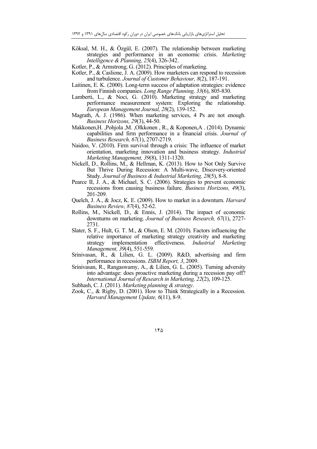- Köksal, M. H., & Özgül, E. (2007). The relationship between marketing strategies and performance in an economic crisis. Marketing Intelligence & Planning, 25(4), 326-342.
- Kotler, P., & Armstrong, G. (2012). Principles of marketing.
- Kotler, P., & Caslione, J. A. (2009). How marketers can respond to recession and turbulence. Journal of Customer Behaviour, 8(2), 187-191.
- Laitinen, E. K. (2000). Long-term success of adaptation strategies: evidence from Finnish companies. Long Range Planning, 33(6), 805-830.
- Lamberti, L., & Noci, G.  $(2010)$ . Marketing strategy and marketing performance measurement system: Exploring the relationship. European Management Journal, 28(2), 139-152.
- Magrath, A. J. (1986). When marketing services, 4 Ps are not enough. Business Horizons, 29(3), 44-50.
- Makkonen, H., Pohjola, M., Olkkonen, R., & Koponen, A. (2014). Dynamic capabilities and firm performance in a financial crisis. Journal of Business Research, 67(1), 2707-2719.
- Naidoo, V. (2010). Firm survival through a crisis: The influence of market orientation, marketing innovation and business strategy. Industrial Marketing Management, 39(8), 1311-1320.
- Nickell, D., Rollins, M., & Hellman, K. (2013). How to Not Only Survive But Thrive During Recession: A Multi-wave, Discovery-oriented Study. Journal of Business & Industrial Marketing, 28(5), 8-8.
- Pearce II, J. A., & Michael, S. C. (2006). Strategies to prevent economic recessions from causing business failure. Business Horizons, 49(3), 201-209.
- Quelch, J. A., & Jocz, K. E. (2009). How to market in a downturn. *Harvard* Business Review, 87(4), 52-62.
- Rollins, M., Nickell, D., & Ennis, J. (2014). The impact of economic downturns on marketing. Journal of Business Research, 67(1), 2727-2731.
- Slater, S. F., Hult, G. T. M., & Olson, E. M. (2010). Factors influencing the relative importance of marketing strategy creativity and marketing strategy implementation effectiveness. *Industrial Marketing* Management, 39(4), 551-559.
- Srinivasan, R., & Lilien, G. L. (2009). R&D, advertising and firm performance in recessions. *ISBM Report*, 3, 2009.
- Srinivasan, R., Rangaswamy, A., & Lilien, G. L. (2005). Turning adversity into advantage: does proactive marketing during a recession pay off? International Journal of Research in Marketing, 22(2), 109-125.
- Subhash, C. J. (2011). Marketing planning & strategy.
- Zook, C., & Rigby, D. (2001). How to Think Strategically in a Recession. Harvard Management Update, 6(11), 8-9.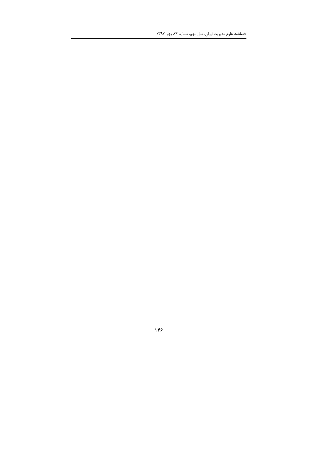فصلنامه علوم مدیریت ایران، سال نهم، شماره ٣٣، بهار ١٣٩٣